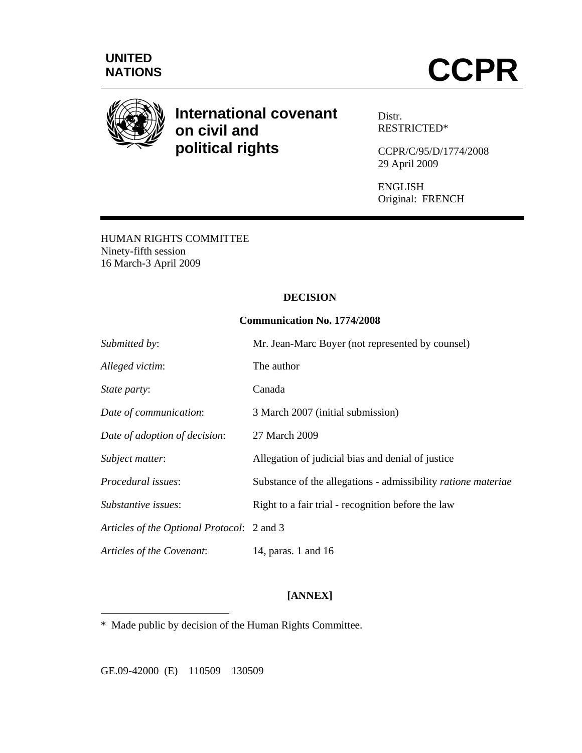



# **International covenant on civil and political rights**

Distr. RESTRICTED\*

CCPR/C/95/D/1774/2008 29 April 2009

ENGLISH Original: FRENCH

HUMAN RIGHTS COMMITTEE Ninety-fifth session 16 March-3 April 2009

## **DECISION**

## **Communication No. 1774/2008**

| Submitted by:                              | Mr. Jean-Marc Boyer (not represented by counsel)              |
|--------------------------------------------|---------------------------------------------------------------|
| Alleged victim:                            | The author                                                    |
| State party:                               | Canada                                                        |
| Date of communication:                     | 3 March 2007 (initial submission)                             |
| Date of adoption of decision:              | 27 March 2009                                                 |
| Subject matter:                            | Allegation of judicial bias and denial of justice             |
| Procedural issues:                         | Substance of the allegations - admissibility ratione materiae |
| Substantive issues:                        | Right to a fair trial - recognition before the law            |
| Articles of the Optional Protocol: 2 and 3 |                                                               |
| Articles of the Covenant:                  | 14, paras. 1 and 16                                           |

# **[ANNEX]**

\* Made public by decision of the Human Rights Committee.

GE.09-42000 (E) 110509 130509

 $\overline{a}$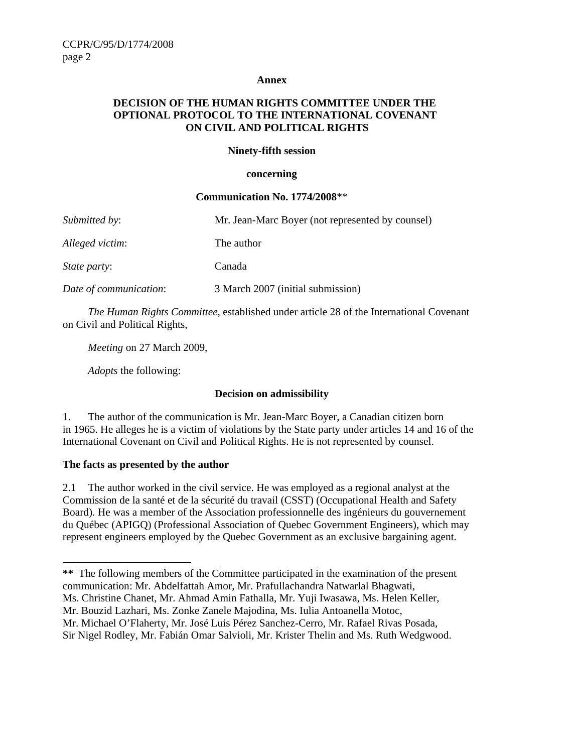#### **Annex**

# **DECISION OF THE HUMAN RIGHTS COMMITTEE UNDER THE OPTIONAL PROTOCOL TO THE INTERNATIONAL COVENANT ON CIVIL AND POLITICAL RIGHTS**

### **Ninety-fifth session**

#### **concerning**

#### **Communication No. 1774/2008**\*\*

| Submitted by:          | Mr. Jean-Marc Boyer (not represented by counsel) |
|------------------------|--------------------------------------------------|
| Alleged victim:        | The author                                       |
| <i>State party:</i>    | Canada                                           |
| Date of communication: | 3 March 2007 (initial submission)                |

*The Human Rights Committee*, established under article 28 of the International Covenant on Civil and Political Rights,

*Meeting* on 27 March 2009,

 *Adopts* the following:

## **Decision on admissibility**

1. The author of the communication is Mr. Jean-Marc Boyer, a Canadian citizen born in 1965. He alleges he is a victim of violations by the State party under articles 14 and 16 of the International Covenant on Civil and Political Rights. He is not represented by counsel.

## **The facts as presented by the author**

 $\overline{a}$ 

2.1 The author worked in the civil service. He was employed as a regional analyst at the Commission de la santé et de la sécurité du travail (CSST) (Occupational Health and Safety Board). He was a member of the Association professionnelle des ingénieurs du gouvernement du Québec (APIGQ) (Professional Association of Quebec Government Engineers), which may represent engineers employed by the Quebec Government as an exclusive bargaining agent.

Ms. Christine Chanet, Mr. Ahmad Amin Fathalla, Mr. Yuji Iwasawa, Ms. Helen Keller,

**<sup>\*\*</sup>** The following members of the Committee participated in the examination of the present communication: Mr. Abdelfattah Amor, Mr. Prafullachandra Natwarlal Bhagwati,

Mr. Bouzid Lazhari, Ms. Zonke Zanele Majodina, Ms. Iulia Antoanella Motoc,

Mr. Michael O'Flaherty, Mr. José Luis Pérez Sanchez-Cerro, Mr. Rafael Rivas Posada,

Sir Nigel Rodley, Mr. Fabián Omar Salvioli, Mr. Krister Thelin and Ms. Ruth Wedgwood.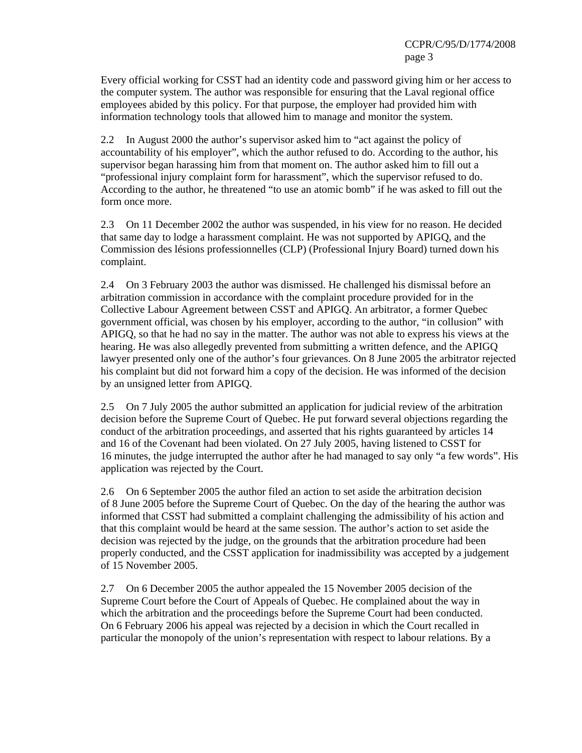Every official working for CSST had an identity code and password giving him or her access to the computer system. The author was responsible for ensuring that the Laval regional office employees abided by this policy. For that purpose, the employer had provided him with information technology tools that allowed him to manage and monitor the system.

2.2 In August 2000 the author's supervisor asked him to "act against the policy of accountability of his employer", which the author refused to do. According to the author, his supervisor began harassing him from that moment on. The author asked him to fill out a "professional injury complaint form for harassment", which the supervisor refused to do. According to the author, he threatened "to use an atomic bomb" if he was asked to fill out the form once more.

2.3 On 11 December 2002 the author was suspended, in his view for no reason. He decided that same day to lodge a harassment complaint. He was not supported by APIGQ, and the Commission des lésions professionnelles (CLP) (Professional Injury Board) turned down his complaint.

2.4 On 3 February 2003 the author was dismissed. He challenged his dismissal before an arbitration commission in accordance with the complaint procedure provided for in the Collective Labour Agreement between CSST and APIGQ. An arbitrator, a former Quebec government official, was chosen by his employer, according to the author, "in collusion" with APIGQ, so that he had no say in the matter. The author was not able to express his views at the hearing. He was also allegedly prevented from submitting a written defence, and the APIGQ lawyer presented only one of the author's four grievances. On 8 June 2005 the arbitrator rejected his complaint but did not forward him a copy of the decision. He was informed of the decision by an unsigned letter from APIGQ.

2.5 On 7 July 2005 the author submitted an application for judicial review of the arbitration decision before the Supreme Court of Quebec. He put forward several objections regarding the conduct of the arbitration proceedings, and asserted that his rights guaranteed by articles 14 and 16 of the Covenant had been violated. On 27 July 2005, having listened to CSST for 16 minutes, the judge interrupted the author after he had managed to say only "a few words". His application was rejected by the Court.

2.6 On 6 September 2005 the author filed an action to set aside the arbitration decision of 8 June 2005 before the Supreme Court of Quebec. On the day of the hearing the author was informed that CSST had submitted a complaint challenging the admissibility of his action and that this complaint would be heard at the same session. The author's action to set aside the decision was rejected by the judge, on the grounds that the arbitration procedure had been properly conducted, and the CSST application for inadmissibility was accepted by a judgement of 15 November 2005.

2.7 On 6 December 2005 the author appealed the 15 November 2005 decision of the Supreme Court before the Court of Appeals of Quebec. He complained about the way in which the arbitration and the proceedings before the Supreme Court had been conducted. On 6 February 2006 his appeal was rejected by a decision in which the Court recalled in particular the monopoly of the union's representation with respect to labour relations. By a